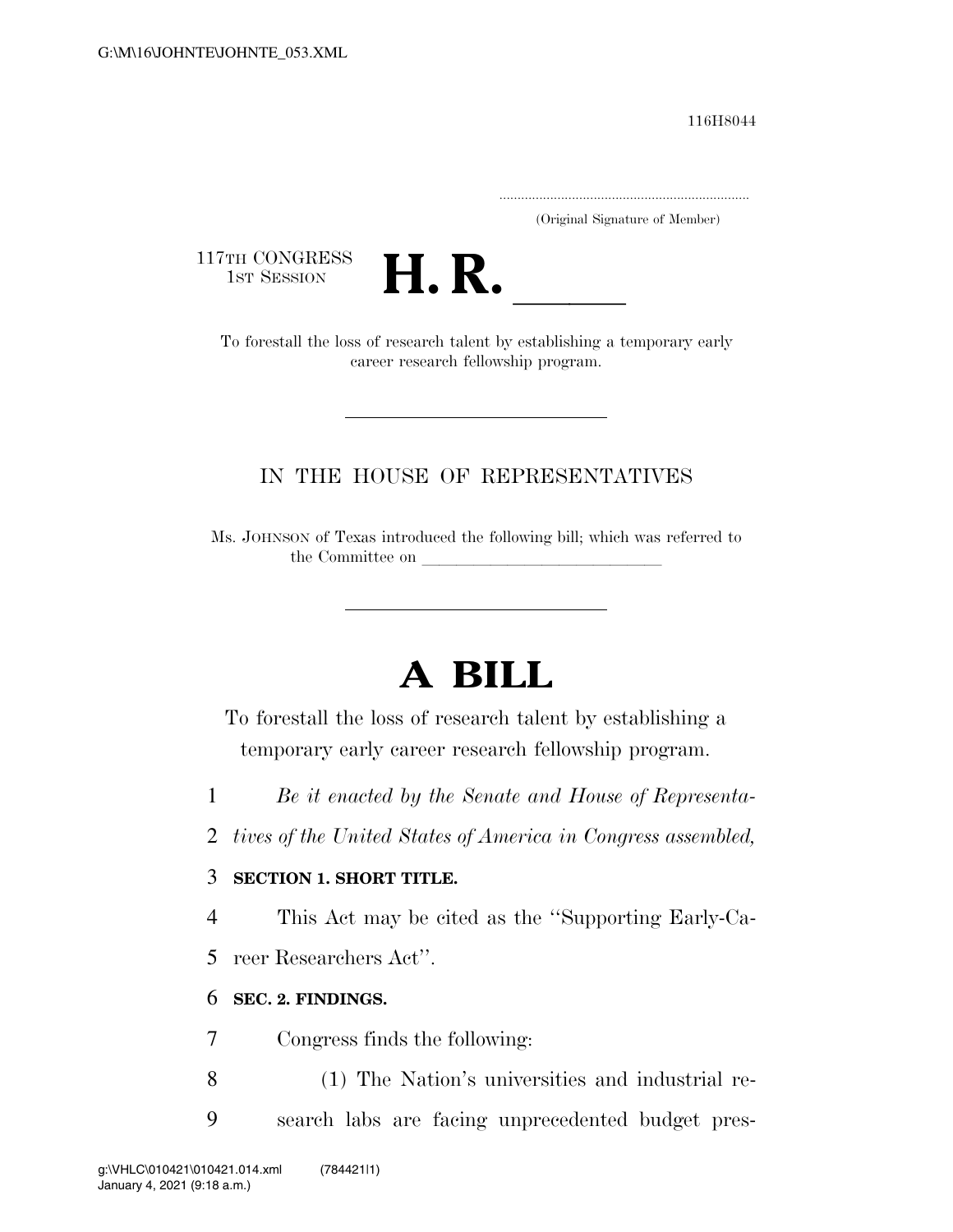116H8044

.....................................................................

(Original Signature of Member)

117TH CONGRESS<br>1st Session



TH CONGRESS<br>1st SESSION<br>To forestall the loss of research talent by establishing a temporary early career research fellowship program.

## IN THE HOUSE OF REPRESENTATIVES

Ms. JOHNSON of Texas introduced the following bill; which was referred to the Committee on

# **A BILL**

To forestall the loss of research talent by establishing a temporary early career research fellowship program.

- 1 *Be it enacted by the Senate and House of Representa-*
- 2 *tives of the United States of America in Congress assembled,*

### 3 **SECTION 1. SHORT TITLE.**

4 This Act may be cited as the ''Supporting Early-Ca-

5 reer Researchers Act''.

### 6 **SEC. 2. FINDINGS.**

7 Congress finds the following:

- 8 (1) The Nation's universities and industrial re-
- 9 search labs are facing unprecedented budget pres-